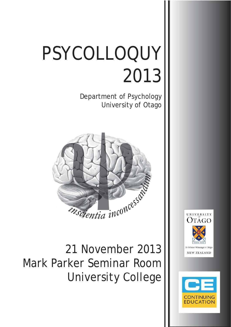# PSYCOLLOQUY 2013

Department of Psychology University of Otago



21 November 2013 Mark Parker Seminar Room University College



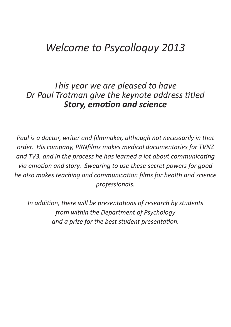### *Welcome to Psycolloquy 2013*

### *This year we are pleased to have Dr Paul Trotman give the keynote address titled* **Story, emotion and science**

*Paul is a doctor, writer and filmmaker, although not necessarily in that* order. His company, PRNfilms makes medical documentaries for TVNZ *and TV3, and in the process he has learned a lot about communicating via emoƟ on and story. Swearing to use these secret powers for good he also makes teaching and communication films for health and science professionals.*

*In addition, there will be presentations of research by students from within the Department of Psychology and a prize for the best student presentation.*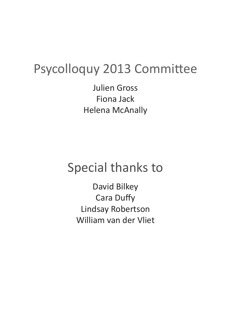# Psycolloquy 2013 Committee

Julien Gross Fiona Jack Helena McAnally

# Special thanks to

David Bilkey **Cara Duffy** Lindsay Robertson William van der Vliet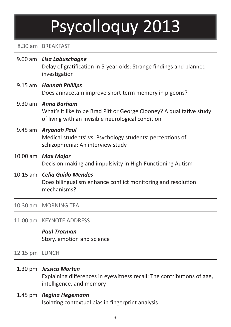# Psycolloquy 2013

#### 8.30 am BREAKFAST

- 9.00 am *Lisa Labuschagne* Delay of gratification in 5-year-olds: Strange findings and planned investigation
- 9.15 am *Hannah Phillips* Does aniracetam improve short-term memory in pigeons?
- 9.30 am *Anna Barham* What's it like to be Brad Pitt or George Clooney? A qualitative study of living with an invisible neurological condition
- 9.45 am *Aryanah Paul* Medical students' vs. Psychology students' perceptions of schizophrenia: An interview study
- 10.00 am *Max Major* Decision-making and impulsivity in High-Functioning Autism
- 10.15 am *Celia Guido Mendes* Does bilingualism enhance conflict monitoring and resolution mechanisms?

10.30 am MORNING TEA

11.00 am KEYNOTE ADDRESS

*Paul Trotman* Story, emotion and science

12.15 pm LUNCH

#### 1.30 pm *Jessica Morten*

Explaining differences in eyewitness recall: The contributions of age, intelligence, and memory

#### 1.45 pm *Regina Hegemann*

Isolating contextual bias in fingerprint analysis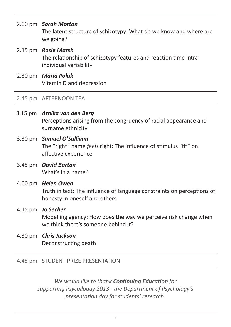#### 2.00 pm *Sarah Morton*

 The latent structure of schizotypy: What do we know and where are we going?

- 2.15 pm *Rosie Marsh* The relationship of schizotypy features and reaction time intraindividual variability
- 2.30 pm *Maria Polak* Vitamin D and depression

#### 2.45 pm AFTERNOON TEA

- 3.15 pm *Arnika van den Berg* Perceptions arising from the congruency of racial appearance and surname ethnicity
- 3.30 pm *Samuel O'Sullivan* The "right" name *feels* right: The influence of stimulus "fit" on affective experience
- 3.45 pm *David Barton* What's in a name?
- 4.00 pm *Helen Owen* Truth in text: The influence of language constraints on perceptions of honesty in oneself and others
- 4.15 pm *Jo Secher* Modelling agency: How does the way we perceive risk change when we think there's someone behind it?
- 4.30 pm *Chris Jackson* Deconstructing death

#### 4.45 pm STUDENT PRIZE PRESENTATION

*We would like to thank Continuing Education for supporƟ ng Psycolloquy 2013 - the Department of Psychology's presentaƟ on day for students' research.*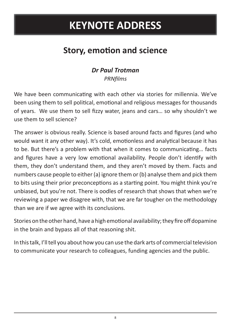## **KEYNOTE ADDRESS**

### **Story, emotion and science**

### *Dr Paul Trotman*

*PRNfi lms*

We have been communicating with each other via stories for millennia. We've been using them to sell political, emotional and religious messages for thousands of years. We use them to sell fizzy water, jeans and cars... so why shouldn't we use them to sell science?

The answer is obvious really. Science is based around facts and figures (and who would want it any other way). It's cold, emotionless and analytical because it has to be. But there's a problem with that when it comes to communicating... facts and figures have a very low emotional availability. People don't identify with them, they don't understand them, and they aren't moved by them. Facts and numbers cause people to either (a) ignore them or (b) analyse them and pick them to bits using their prior preconceptions as a starting point. You might think you're unbiased, but you're not. There is oodles of research that shows that when we're reviewing a paper we disagree with, that we are far tougher on the methodology than we are if we agree with its conclusions.

Stories on the other hand, have a high emotional availability; they fire off dopamine in the brain and bypass all of that reasoning shit.

In this talk, I'll tell you about how you can use the dark arts of commercial television to communicate your research to colleagues, funding agencies and the public.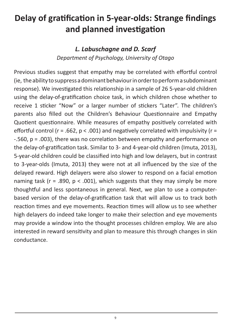### **Delay of gratification in 5-year-olds: Strange findings and planned investigation**

#### *L. Labuschagne and D. Scarf Department of Psychology, University of Otago*

Previous studies suggest that empathy may be correlated with effortful control (ie, the ability to suppress a dominant behaviour in order to perform a subdominant response). We investigated this relationship in a sample of 26 5-year-old children using the delay-of-gratification choice task, in which children chose whether to receive 1 sticker "Now" or a larger number of stickers "Later". The children's parents also filled out the Children's Behaviour Questionnaire and Empathy Quotient questionnaire. While measures of empathy positively correlated with effortful control (r = .662,  $p < .001$ ) and negatively correlated with impulsivity (r =  $-560$ ,  $p = .003$ ), there was no correlation between empathy and performance on the delay-of-gratification task. Similar to 3- and 4-year-old children (Imuta, 2013), 5-year-old children could be classified into high and low delayers, but in contrast to 3-year-olds (Imuta, 2013) they were not at all influenced by the size of the delayed reward. High delayers were also slower to respond on a facial emotion naming task ( $r = .890$ ,  $p < .001$ ), which suggests that they may simply be more thoughtful and less spontaneous in general. Next, we plan to use a computerbased version of the delay-of-gratification task that will allow us to track both reaction times and eye movements. Reaction times will allow us to see whether high delayers do indeed take longer to make their selection and eye movements may provide a window into the thought processes children employ. We are also interested in reward sensitivity and plan to measure this through changes in skin conductance.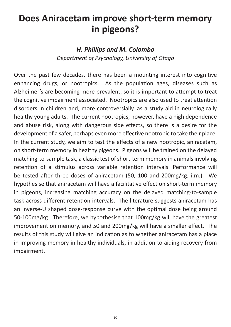### **Does Aniracetam improve short-term memory in pigeons?**

#### *H. Phillips and M. Colombo Department of Psychology, University of Otago*

Over the past few decades, there has been a mounting interest into cognitive enhancing drugs, or nootropics. As the population ages, diseases such as Alzheimer's are becoming more prevalent, so it is important to attempt to treat the cognitive impairment associated. Nootropics are also used to treat attention disorders in children and, more controversially, as a study aid in neurologically healthy young adults. The current nootropics, however, have a high dependence and abuse risk, along with dangerous side effects, so there is a desire for the development of a safer, perhaps even more effective nootropic to take their place. In the current study, we aim to test the effects of a new nootropic, aniracetam, on short-term memory in healthy pigeons. Pigeons will be trained on the delayed matching-to-sample task, a classic test of short-term memory in animals involving retention of a stimulus across variable retention intervals. Performance will be tested after three doses of aniracetam (50, 100 and 200mg/kg, i.m.). We hypothesise that aniracetam will have a facilitative effect on short-term memory in pigeons, increasing matching accuracy on the delayed matching-to-sample task across different retention intervals. The literature suggests aniracetam has an inverse-U shaped dose-response curve with the optimal dose being around 50-100mg/kg. Therefore, we hypothesise that 100mg/kg will have the greatest improvement on memory, and 50 and 200mg/kg will have a smaller effect. The results of this study will give an indication as to whether aniracetam has a place in improving memory in healthy individuals, in addition to aiding recovery from impairment.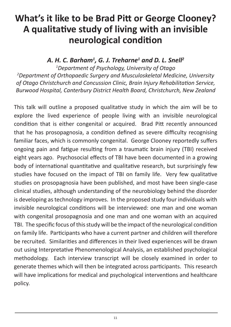### **What's it like to be Brad Pitt or George Clooney?** A qualitative study of living with an invisible **neurological condition**

#### *A. H. C. Barham1 , G. J. Treharne1 and D. L. Snell2*

*1 Department of Psychology, University of Otago 2 Department of Orthopaedic Surgery and Musculoskeletal Medicine, University of Otago Christchurch and Concussion Clinic, Brain Injury Rehabilitation Service, Burwood Hospital, Canterbury District Health Board, Christchurch, New Zealand*

This talk will outline a proposed qualitative study in which the aim will be to explore the lived experience of people living with an invisible neurological condition that is either congenital or acquired. Brad Pitt recently announced that he has prosopagnosia, a condition defined as severe difficulty recognising familiar faces, which is commonly congenital. George Clooney reportedly suffers ongoing pain and fatigue resulting from a traumatic brain injury (TBI) received eight years ago. Psychosocial effects of TBI have been documented in a growing body of international quantitative and qualitative research, but surprisingly few studies have focused on the impact of TBI on family life. Very few qualitative studies on prosopagnosia have been published, and most have been single-case clinical studies, although understanding of the neurobiology behind the disorder is developing as technology improves. In the proposed study four individuals with invisible neurological conditions will be interviewed: one man and one woman with congenital prosopagnosia and one man and one woman with an acquired TBI. The specific focus of this study will be the impact of the neurological condition on family life. Participants who have a current partner and children will therefore be recruited. Similarities and differences in their lived experiences will be drawn out using Interpretative Phenomenological Analysis, an established psychological methodology. Each interview transcript will be closely examined in order to generate themes which will then be integrated across participants. This research will have implications for medical and psychological interventions and healthcare policy.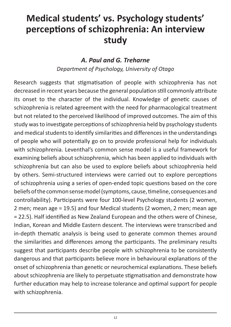### **Medical students' vs. Psychology students' percepƟ ons of schizophrenia: An interview study**

#### *A. Paul and G. Treharne*

*Department of Psychology, University of Otago*

Research suggests that stigmatisation of people with schizophrenia has not decreased in recent years because the general population still commonly attribute its onset to the character of the individual. Knowledge of genetic causes of schizophrenia is related agreement with the need for pharmacological treatment but not related to the perceived likelihood of improved outcomes. The aim of this study was to investigate perceptions of schizophrenia held by psychology students and medical students to identify similarities and differences in the understandings of people who will potentially go on to provide professional help for individuals with schizophrenia. Leventhal's common sense model is a useful framework for examining beliefs about schizophrenia, which has been applied to individuals with schizophrenia but can also be used to explore beliefs about schizophrenia held by others. Semi-structured interviews were carried out to explore perceptions of schizophrenia using a series of open-ended topic questions based on the core beliefs of the common sense model (symptoms, cause, timeline, consequences and controllability). Participants were four 100-level Psychology students (2 women, 2 men; mean age = 19.5) and four Medical students (2 women, 2 men; mean age = 22.5). Half identified as New Zealand European and the others were of Chinese, Indian, Korean and Middle Eastern descent. The interviews were transcribed and in-depth thematic analysis is being used to generate common themes around the similarities and differences among the participants. The preliminary results suggest that participants describe people with schizophrenia to be consistently dangerous and that participants believe more in behavioural explanations of the onset of schizophrenia than genetic or neurochemical explanations. These beliefs about schizophrenia are likely to perpetuate stigmatisation and demonstrate how further education may help to increase tolerance and optimal support for people with schizophrenia.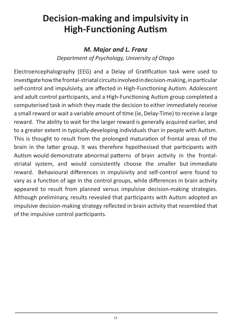### **Decision-making and impulsivity in High-Functioning Autism**

### *M. Major and L. Franz Department of Psychology, University of Otago*

Electroencephalography (EEG) and a Delay of Gratification task were used to investigate how the frontal-striatal circuits involved in decision-making, in particular self-control and impulsivity, are affected in High-Functioning Autism. Adolescent and adult control participants, and a High-Functioning Autism group completed a computerised task in which they made the decision to either immediately receive a small reward or wait a variable amount of time (ie, Delay-Time) to receive a large reward. The ability to wait for the larger reward is generally acquired earlier, and to a greater extent in typically-developing individuals than in people with Autism. This is thought to result from the prolonged maturation of frontal areas of the brain in the latter group. It was therefore hypothesised that participants with Autism would demonstrate abnormal patterns of brain activity in the frontalstriatal system, and would consistently choose the smaller but immediate reward. Behavioural differences in impulsivity and self-control were found to vary as a function of age in the control groups, while differences in brain activity appeared to result from planned versus impulsive decision-making strategies. Although preliminary, results revealed that participants with Autism adopted an impulsive decision-making strategy reflected in brain activity that resembled that of the impulsive control participants.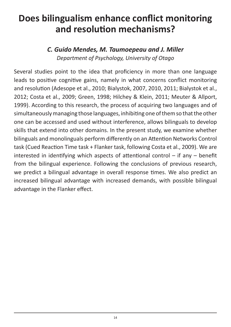### **Does bilingualism enhance conflict monitoring and resolution mechanisms?**

#### *C. Guido Mendes, M. Taumoepeau and J. Miller Department of Psychology, University of Otago*

Several studies point to the idea that proficiency in more than one language leads to positive cognitive gains, namely in what concerns conflict monitoring and resolution (Adesope et al., 2010; Bialystok, 2007, 2010, 2011; Bialystok et al., 2012; Costa et al., 2009; Green, 1998; Hilchey & Klein, 2011; Meuter & Allport, 1999). According to this research, the process of acquiring two languages and of simultaneously managing those languages, inhibiting one of them so that the other one can be accessed and used without interference, allows bilinguals to develop skills that extend into other domains. In the present study, we examine whether bilinguals and monolinguals perform differently on an Attention Networks Control task (Cued Reaction Time task + Flanker task, following Costa et al., 2009). We are interested in identifying which aspects of attentional control  $-$  if any  $-$  benefit from the bilingual experience. Following the conclusions of previous research, we predict a bilingual advantage in overall response times. We also predict an increased bilingual advantage with increased demands, with possible bilingual advantage in the Flanker effect.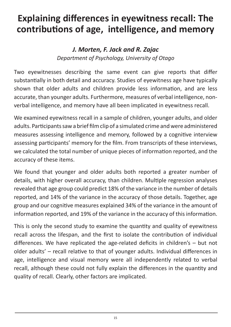### **Explaining differences in eyewitness recall: The** contributions of age, intelligence, and memory

### *J. Morten, F. Jack and R. Zajac Department of Psychology, University of Otago*

Two eyewitnesses describing the same event can give reports that differ substantially in both detail and accuracy. Studies of eyewitness age have typically shown that older adults and children provide less information, and are less accurate, than younger adults. Furthermore, measures of verbal intelligence, nonverbal intelligence, and memory have all been implicated in eyewitness recall.

We examined eyewitness recall in a sample of children, younger adults, and older adults. Participants saw a brief film clip of a simulated crime and were administered measures assessing intelligence and memory, followed by a cognitive interview assessing participants' memory for the film. From transcripts of these interviews, we calculated the total number of unique pieces of information reported, and the accuracy of these items.

We found that younger and older adults both reported a greater number of details, with higher overall accuracy, than children. Multiple regression analyses revealed that age group could predict 18% of the variance in the number of details reported, and 14% of the variance in the accuracy of those details. Together, age group and our cognitive measures explained 34% of the variance in the amount of information reported, and 19% of the variance in the accuracy of this information.

This is only the second study to examine the quantity and quality of eyewitness recall across the lifespan, and the first to isolate the contribution of individual differences. We have replicated the age-related deficits in children's  $-$  but not older adults' – recall relative to that of younger adults. Individual differences in age, intelligence and visual memory were all independently related to verbal recall, although these could not fully explain the differences in the quantity and quality of recall. Clearly, other factors are implicated.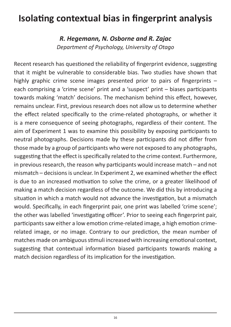### **Isolating contextual bias in fingerprint analysis**

*R. Hegemann, N. Osborne and R. Zajac Department of Psychology, University of Otago*

Recent research has questioned the reliability of fingerprint evidence, suggesting that it might be vulnerable to considerable bias. Two studies have shown that highly graphic crime scene images presented prior to pairs of fingerprints  $$ each comprising a 'crime scene' print and a 'suspect' print – biases participants towards making 'match' decisions. The mechanism behind this effect, however, remains unclear. First, previous research does not allow us to determine whether the effect related specifically to the crime-related photographs, or whether it is a mere consequence of seeing photographs, regardless of their content. The aim of Experiment 1 was to examine this possibility by exposing participants to neutral photographs. Decisions made by these participants did not differ from those made by a group of participants who were not exposed to any photographs, suggesting that the effect is specifically related to the crime context. Furthermore, in previous research, the reason why participants would increase match  $-$  and not mismatch – decisions is unclear. In Experiment 2, we examined whether the effect is due to an increased motivation to solve the crime, or a greater likelihood of making a match decision regardless of the outcome. We did this by introducing a situation in which a match would not advance the investigation, but a mismatch would. Specifically, in each fingerprint pair, one print was labelled 'crime scene'; the other was labelled 'investigating officer'. Prior to seeing each fingerprint pair, participants saw either a low emotion crime-related image, a high emotion crimerelated image, or no image. Contrary to our prediction, the mean number of matches made on ambiguous stimuli increased with increasing emotional context, suggesting that contextual information biased participants towards making a match decision regardless of its implication for the investigation.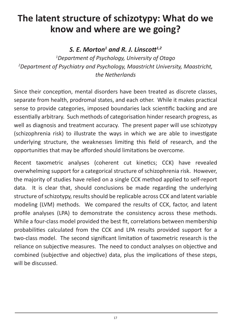### **The latent structure of schizotypy: What do we know and where are we going?**

#### *S. E. Morton1 and R. J. LinscoƩ1,2*

*1 Department of Psychology, University of Otago 2 Department of Psychiatry and Psychology, Maastricht University, Maastricht, the Netherlands*

Since their conception, mental disorders have been treated as discrete classes, separate from health, prodromal states, and each other. While it makes practical sense to provide categories, imposed boundaries lack scientific backing and are essentially arbitrary. Such methods of categorisation hinder research progress, as well as diagnosis and treatment accuracy. The present paper will use schizotypy (schizophrenia risk) to illustrate the ways in which we are able to investigate underlying structure, the weaknesses limiting this field of research, and the opportunities that may be afforded should limitations be overcome.

Recent taxometric analyses (coherent cut kinetics; CCK) have revealed overwhelming support for a categorical structure of schizophrenia risk. However, the majority of studies have relied on a single CCK method applied to self-report data. It is clear that, should conclusions be made regarding the underlying structure of schizotypy, results should be replicable across CCK and latent variable modeling (LVM) methods. We compared the results of CCK, factor, and latent profile analyses (LPA) to demonstrate the consistency across these methods. While a four-class model provided the best fit, correlations between membership probabilities calculated from the CCK and LPA results provided support for a two-class model. The second significant limitation of taxometric research is the reliance on subjective measures. The need to conduct analyses on objective and combined (subjective and objective) data, plus the implications of these steps, will be discussed.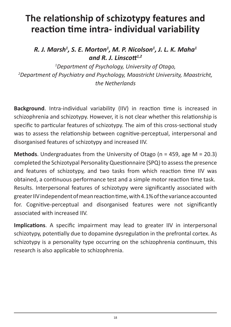### **The relationship of schizotypy features and reacƟ on Ɵ me intra- individual variability**

*R. J. Marsh1 , S. E. Morton1 , M. P. Nicolson1 , J. L. K. Maha1 and R. J. Linscott*<sup>1,2</sup>

*1 Department of Psychology, University of Otago, 2 Department of Psychiatry and Psychology, Maastricht University, Maastricht, the Netherlands*

**Background**. Intra-individual variability (IIV) in reaction time is increased in schizophrenia and schizotypy. However, it is not clear whether this relationship is specific to particular features of schizotypy. The aim of this cross-sectional study was to assess the relationship between cognitive-perceptual, interpersonal and disorganised features of schizotypy and increased IIV.

**Methods**. Undergraduates from the University of Otago (n = 459, age M = 20.3) completed the Schizotypal Personality Questionnaire (SPQ) to assess the presence and features of schizotypy, and two tasks from which reaction time IIV was obtained, a continuous performance test and a simple motor reaction time task. Results. Interpersonal features of schizotypy were significantly associated with greater IIV independent of mean reaction time, with 4.1% of the variance accounted for. Cognitive-perceptual and disorganised features were not significantly associated with increased IIV.

**Implications**. A specific impairment may lead to greater IIV in interpersonal schizotypy, potentially due to dopamine dysregulation in the prefrontal cortex. As schizotypy is a personality type occurring on the schizophrenia continuum, this research is also applicable to schizophrenia.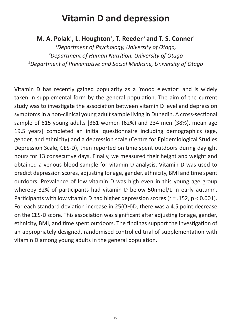### **Vitamin D and depression**

#### M. A. Polak<sup>1</sup>, L. Houghton<sup>2</sup>, T. Reeder<sup>3</sup> and T. S. Conner<sup>1</sup>

*1 Department of Psychology, University of Otago, 2 Department of Human NutriƟ on, University of Otago 3 Department of PreventaƟ ve and Social Medicine, University of Otago*

Vitamin D has recently gained popularity as a 'mood elevator' and is widely taken in supplemental form by the general population. The aim of the current study was to investigate the association between vitamin D level and depression symptoms in a non-clinical young adult sample living in Dunedin. A cross-sectional sample of 615 young adults [381 women (62%) and 234 men (38%), mean age 19.5 years] completed an initial questionnaire including demographics (age, gender, and ethnicity) and a depression scale (Centre for Epidemiological Studies Depression Scale, CES-D), then reported on time spent outdoors during daylight hours for 13 consecutive days. Finally, we measured their height and weight and obtained a venous blood sample for vitamin D analysis. Vitamin D was used to predict depression scores, adjusting for age, gender, ethnicity, BMI and time spent outdoors. Prevalence of low vitamin D was high even in this young age group whereby 32% of participants had vitamin D below 50nmol/L in early autumn. Participants with low vitamin D had higher depression scores ( $r = .152$ ,  $p < 0.001$ ). For each standard deviation increase in 25(OH)D, there was a 4.5 point decrease on the CES-D score. This association was significant after adjusting for age, gender, ethnicity, BMI, and time spent outdoors. The findings support the investigation of an appropriately designed, randomised controlled trial of supplementation with vitamin D among young adults in the general population.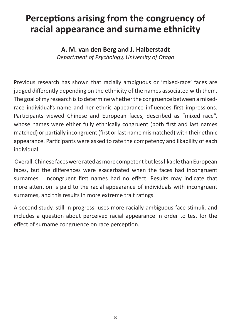### **Perceptions arising from the congruency of racial appearance and surname ethnicity**

**A. M. van den Berg and J. Halberstadt**  *Department of Psychology, University of Otago*

Previous research has shown that racially ambiguous or 'mixed-race' faces are judged differently depending on the ethnicity of the names associated with them. The goal of my research is to determine whether the congruence between a mixedrace individual's name and her ethnic appearance influences first impressions. Participants viewed Chinese and European faces, described as "mixed race", whose names were either fully ethnically congruent (both first and last names matched) or partially incongruent (first or last name mismatched) with their ethnic appearance. Participants were asked to rate the competency and likability of each individual.

 Overall, Chinese faces were rated as more competent but less likable than European faces, but the differences were exacerbated when the faces had incongruent surnames. Incongruent first names had no effect. Results may indicate that more attention is paid to the racial appearance of individuals with incongruent surnames, and this results in more extreme trait ratings.

A second study, still in progress, uses more racially ambiguous face stimuli, and includes a question about perceived racial appearance in order to test for the effect of surname congruence on race perception.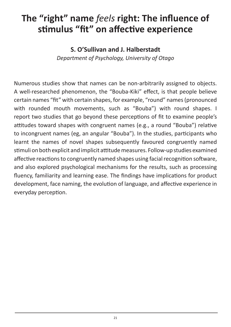### The "right" name *feels* right: The influence of **stimulus "fit" on affective experience**

#### **S. O'Sullivan and J. Halberstadt**

*Department of Psychology, University of Otago*

Numerous studies show that names can be non-arbitrarily assigned to objects. A well-researched phenomenon, the "Bouba-Kiki" effect, is that people believe certain names "fit" with certain shapes, for example, "round" names (pronounced with rounded mouth movements, such as "Bouba") with round shapes. I report two studies that go beyond these perceptions of fit to examine people's attitudes toward shapes with congruent names (e.g., a round "Bouba") relative to incongruent names (eg, an angular "Bouba"). In the studies, participants who learnt the names of novel shapes subsequently favoured congruently named stimuli on both explicit and implicit attitude measures. Follow-up studies examined affective reactions to congruently named shapes using facial recognition software, and also explored psychological mechanisms for the results, such as processing fluency, familiarity and learning ease. The findings have implications for product development, face naming, the evolution of language, and affective experience in everyday perception.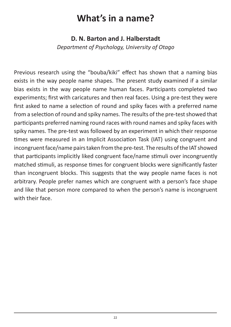### **What's in a name?**

#### **D. N. Barton and J. Halberstadt**

*Department of Psychology, University of Otago*

Previous research using the "bouba/kiki" effect has shown that a naming bias exists in the way people name shapes. The present study examined if a similar bias exists in the way people name human faces. Participants completed two experiments; first with caricatures and then real faces. Using a pre-test they were first asked to name a selection of round and spiky faces with a preferred name from a selection of round and spiky names. The results of the pre-test showed that participants preferred naming round races with round names and spiky faces with spiky names. The pre-test was followed by an experiment in which their response times were measured in an Implicit Association Task (IAT) using congruent and incongruent face/name pairs taken from the pre-test. The results of the IAT showed that participants implicitly liked congruent face/name stimuli over incongruently matched stimuli, as response times for congruent blocks were significantly faster than incongruent blocks. This suggests that the way people name faces is not arbitrary. People prefer names which are congruent with a person's face shape and like that person more compared to when the person's name is incongruent with their face.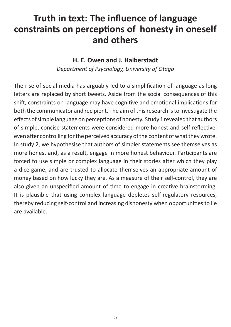### **Truth in text: The influence of language** constraints on perceptions of honesty in oneself **and others**

#### **H. E. Owen and J. Halberstadt**

*Department of Psychology, University of Otago*

The rise of social media has arguably led to a simplification of language as long letters are replaced by short tweets. Aside from the social consequences of this shift, constraints on language may have cognitive and emotional implications for both the communicator and recipient. The aim of this research is to investigate the effects of simple language on perceptions of honesty. Study 1 revealed that authors of simple, concise statements were considered more honest and self-reflective, even after controlling for the perceived accuracy of the content of what they wrote. In study 2, we hypothesise that authors of simpler statements see themselves as more honest and, as a result, engage in more honest behaviour. Participants are forced to use simple or complex language in their stories after which they play a dice-game, and are trusted to allocate themselves an appropriate amount of money based on how lucky they are. As a measure of their self-control, they are also given an unspecified amount of time to engage in creative brainstorming. It is plausible that using complex language depletes self-regulatory resources, thereby reducing self-control and increasing dishonesty when opportunities to lie are available.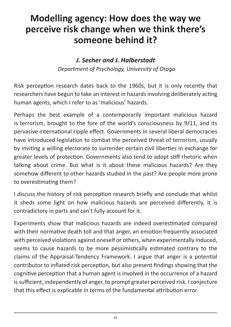### **Modelling agency: How does the way we perceive risk change when we think there's someone behind it?**

#### *J. Secher and J. Halberstadt Department of Psychology, University of Otago*

Risk perception research dates back to the 1960s, but it is only recently that researchers have begun to take an interest in hazards involving deliberately acting human agents, which I refer to as 'malicious' hazards.

Perhaps the best example of a contemporarily important malicious hazard is terrorism, brought to the fore of the world's consciousness by 9/11, and its pervasive international ripple effect. Governments in several liberal democracies have introduced legislation to combat the perceived threat of terrorism, usually by inviting a willing electorate to surrender certain civil liberties in exchange for greater levels of protection. Governments also tend to adopt stiff rhetoric when talking about crime. But what is it about these malicious hazards? Are they somehow different to other hazards studied in the past? Are people more prone to overestimating them?

I discuss the history of risk perception research briefly and conclude that whilst it sheds some light on how malicious hazards are perceived differently, it is contradictory in parts and can't fully account for it.

Experiments show that malicious hazards are indeed overestimated compared with their normative death toll and that anger, an emotion frequently associated with perceived violations against oneself or others, when experimentally induced, seems to cause hazards to be more pessimistically estimated contrary to the claims of the Appraisal-Tendency Framework. I argue that anger is a potential contributor to inflated risk perception, but also present findings showing that the cognitive perception that a human agent is involved in the occurrence of a hazard is sufficient, independently of anger, to prompt greater perceived risk. I conjecture that this effect is explicable in terms of the fundamental attribution error.